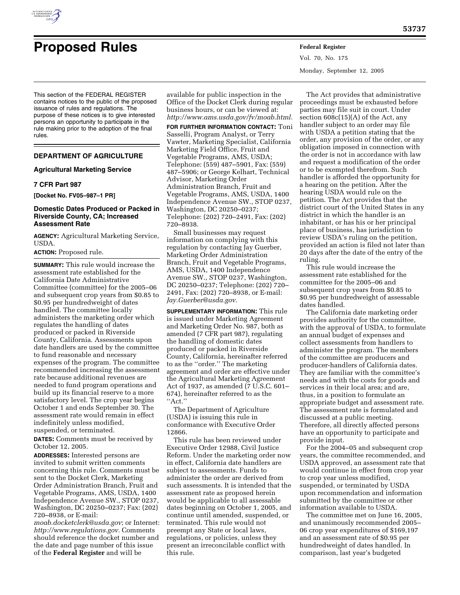

# **Proposed Rules Federal Register**

Vol. 70, No. 175 Monday, September 12, 2005

This section of the FEDERAL REGISTER contains notices to the public of the proposed issuance of rules and regulations. The purpose of these notices is to give interested persons an opportunity to participate in the rule making prior to the adoption of the final rules.

# **DEPARTMENT OF AGRICULTURE**

## **Agricultural Marketing Service**

## **7 CFR Part 987**

**[Docket No. FV05–987–1 PR]** 

## **Domestic Dates Produced or Packed in Riverside County, CA; Increased Assessment Rate**

**AGENCY:** Agricultural Marketing Service, USDA.

**ACTION:** Proposed rule.

**SUMMARY:** This rule would increase the assessment rate established for the California Date Administrative Committee (committee) for the 2005–06 and subsequent crop years from \$0.85 to \$0.95 per hundredweight of dates handled. The committee locally administers the marketing order which regulates the handling of dates produced or packed in Riverside County, California. Assessments upon date handlers are used by the committee to fund reasonable and necessary expenses of the program. The committee recommended increasing the assessment rate because additional revenues are needed to fund program operations and build up its financial reserve to a more satisfactory level. The crop year begins October 1 and ends September 30. The assessment rate would remain in effect indefinitely unless modified, suspended, or terminated.

**DATES:** Comments must be received by October 12, 2005.

**ADDRESSES:** Interested persons are invited to submit written comments concerning this rule. Comments must be sent to the Docket Clerk, Marketing Order Administration Branch, Fruit and Vegetable Programs, AMS, USDA, 1400 Independence Avenue SW., STOP 0237, Washington, DC 20250–0237; Fax: (202) 720–8938, or E-mail:

*moab.docketclerk@usda.gov*; or Internet: *http://www.regulations.gov.* Comments should reference the docket number and the date and page number of this issue of the **Federal Register** and will be

available for public inspection in the Office of the Docket Clerk during regular business hours, or can be viewed at: *http://www.ams.usda.gov/fv/moab.html.* 

**FOR FURTHER INFORMATION CONTACT:** Toni Sasselli, Program Analyst, or Terry Vawter, Marketing Specialist, California Marketing Field Office, Fruit and Vegetable Programs, AMS, USDA; Telephone: (559) 487–5901, Fax: (559) 487–5906; or George Kelhart, Technical Advisor, Marketing Order Administration Branch, Fruit and Vegetable Programs, AMS, USDA, 1400 Independence Avenue SW., STOP 0237, Washington, DC 20250–0237; Telephone: (202) 720–2491, Fax: (202) 720–8938.

Small businesses may request information on complying with this regulation by contacting Jay Guerber, Marketing Order Administration Branch, Fruit and Vegetable Programs, AMS, USDA, 1400 Independence Avenue SW., STOP 0237, Washington, DC 20250–0237; Telephone: (202) 720– 2491, Fax: (202) 720–8938, or E-mail: *Jay.Guerber@usda.gov.* 

**SUPPLEMENTARY INFORMATION:** This rule is issued under Marketing Agreement and Marketing Order No. 987, both as amended (7 CFR part 987), regulating the handling of domestic dates produced or packed in Riverside County, California, hereinafter referred to as the ''order.'' The marketing agreement and order are effective under the Agricultural Marketing Agreement Act of 1937, as amended (7 U.S.C. 601– 674), hereinafter referred to as the ''Act.''

The Department of Agriculture (USDA) is issuing this rule in conformance with Executive Order 12866.

This rule has been reviewed under Executive Order 12988, Civil Justice Reform. Under the marketing order now in effect, California date handlers are subject to assessments. Funds to administer the order are derived from such assessments. It is intended that the assessment rate as proposed herein would be applicable to all assessable dates beginning on October 1, 2005, and continue until amended, suspended, or terminated. This rule would not preempt any State or local laws, regulations, or policies, unless they present an irreconcilable conflict with this rule.

The Act provides that administrative proceedings must be exhausted before parties may file suit in court. Under section 608c(15)(A) of the Act, any handler subject to an order may file with USDA a petition stating that the order, any provision of the order, or any obligation imposed in connection with the order is not in accordance with law and request a modification of the order or to be exempted therefrom. Such handler is afforded the opportunity for a hearing on the petition. After the hearing USDA would rule on the petition. The Act provides that the district court of the United States in any district in which the handler is an inhabitant, or has his or her principal place of business, has jurisdiction to review USDA's ruling on the petition, provided an action is filed not later than 20 days after the date of the entry of the ruling.

This rule would increase the assessment rate established for the committee for the 2005–06 and subsequent crop years from \$0.85 to \$0.95 per hundredweight of assessable dates handled.

The California date marketing order provides authority for the committee, with the approval of USDA, to formulate an annual budget of expenses and collect assessments from handlers to administer the program. The members of the committee are producers and producer-handlers of California dates. They are familiar with the committee's needs and with the costs for goods and services in their local area; and are, thus, in a position to formulate an appropriate budget and assessment rate. The assessment rate is formulated and discussed at a public meeting. Therefore, all directly affected persons have an opportunity to participate and provide input.

For the 2004–05 and subsequent crop years, the committee recommended, and USDA approved, an assessment rate that would continue in effect from crop year to crop year unless modified, suspended, or terminated by USDA upon recommendation and information submitted by the committee or other information available to USDA.

The committee met on June 16, 2005, and unanimously recommended 2005– 06 crop year expenditures of \$169,197 and an assessment rate of \$0.95 per hundredweight of dates handled. In comparison, last year's budgeted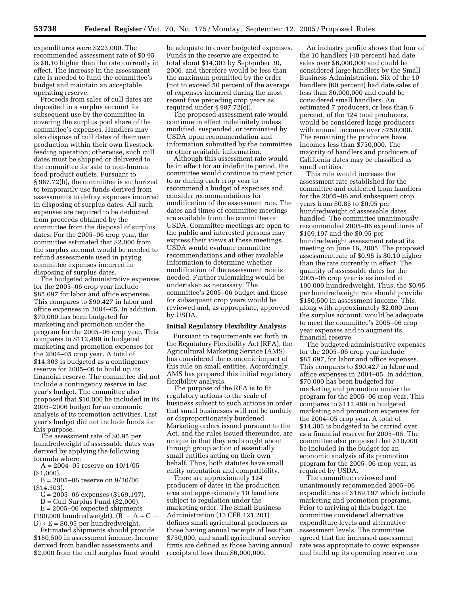expenditures were \$223,000. The recommended assessment rate of \$0.95 is \$0.10 higher than the rate currently in effect. The increase in the assessment rate is needed to fund the committee's budget and maintain an acceptable operating reserve.

Proceeds from sales of cull dates are deposited in a surplus account for subsequent use by the committee in covering the surplus pool share of the committee's expenses. Handlers may also dispose of cull dates of their own production within their own livestockfeeding operation; otherwise, such cull dates must be shipped or delivered to the committee for sale to non-human food product outlets. Pursuant to § 987.72(b), the committee is authorized to temporarily use funds derived from assessments to defray expenses incurred in disposing of surplus dates. All such expenses are required to be deducted from proceeds obtained by the committee from the disposal of surplus dates. For the 2005–06 crop year, the committee estimated that \$2,000 from the surplus account would be needed to refund assessments used in paying committee expenses incurred in disposing of surplus dates.

The budgeted administrative expenses for the 2005–06 crop year include \$85,697 for labor and office expenses. This compares to \$90,427 in labor and office expenses in 2004–05. In addition, \$70,000 has been budgeted for marketing and promotion under the program for the 2005–06 crop year. This compares to \$112,499 in budgeted marketing and promotion expenses for the 2004–05 crop year. A total of \$14,303 is budgeted as a contingency reserve for 2005–06 to build up its financial reserve. The committee did not include a contingency reserve in last year's budget. The committee also proposed that \$10,000 be included in its 2005–2006 budget for an economic analysis of its promotion activities. Last year's budget did not include funds for this purpose.

The assessment rate of \$0.95 per hundredweight of assessable dates was derived by applying the following formula where:

 $A = 2004 - 05$  reserve on  $10/1/05$ (\$1,000).

 $B = 2005 - 06$  reserve on  $9/30/06$ (\$14,303).

C = 2005–06 expenses (\$169,197).

 $D =$  Cull Surplus Fund (\$2,000).

 $E = 2005 - 06$  expected shipments (190,000 hundredweight).  $(B - A + C D$  ÷ E = \$0.95 per hundredweight.

Estimated shipments should provide \$180,500 in assessment income. Income derived from handler assessments and \$2,000 from the cull surplus fund would

be adequate to cover budgeted expenses. Funds in the reserve are expected to total about \$14,303 by September 30, 2006, and therefore would be less than the maximum permitted by the order (not to exceed 50 percent of the average of expenses incurred during the most recent five preceding crop years as required under § 987.72(c)).

The proposed assessment rate would continue in effect indefinitely unless modified, suspended, or terminated by USDA upon recommendation and information submitted by the committee or other available information.

Although this assessment rate would be in effect for an indefinite period, the committee would continue to meet prior to or during each crop year to recommend a budget of expenses and consider recommendations for modification of the assessment rate. The dates and times of committee meetings are available from the committee or USDA. Committee meetings are open to the public and interested persons may express their views at these meetings. USDA would evaluate committee recommendations and other available information to determine whether modification of the assessment rate is needed. Further rulemaking would be undertaken as necessary. The committee's 2005–06 budget and those for subsequent crop years would be reviewed and, as appropriate, approved by USDA.

#### **Initial Regulatory Flexibility Analysis**

Pursuant to requirements set forth in the Regulatory Flexibility Act (RFA), the Agricultural Marketing Service (AMS) has considered the economic impact of this rule on small entities. Accordingly, AMS has prepared this initial regulatory flexibility analysis.

The purpose of the RFA is to fit regulatory actions to the scale of business subject to such actions in order that small businesses will not be unduly or disproportionately burdened. Marketing orders issued pursuant to the Act, and the rules issued thereunder, are unique in that they are brought about through group action of essentially small entities acting on their own behalf. Thus, both statutes have small entity orientation and compatibility.

There are approximately 124 producers of dates in the production area and approximately 10 handlers subject to regulation under the marketing order. The Small Business Administration (13 CFR 121.201) defines small agricultural producers as those having annual receipts of less than \$750,000, and small agricultural service firms are defined as those having annual receipts of less than \$6,000,000.

An industry profile shows that four of the 10 handlers (40 percent) had date sales over \$6,000,000 and could be considered large handlers by the Small Business Administration. Six of the 10 handlers (60 percent) had date sales of less than \$6,000,000 and could be considered small handlers. An estimated 7 producers, or less than 6 percent, of the 124 total producers, would be considered large producers with annual incomes over \$750,000. The remaining the producers have incomes less than \$750,000. The majority of handlers and producers of California dates may be classified as small entities.

This rule would increase the assessment rate established for the committee and collected from handlers for the 2005–06 and subsequent crop years from \$0.85 to \$0.95 per hundredweight of assessable dates handled. The committee unanimously recommended 2005–06 expenditures of \$169,197 and the \$0.95 per hundredweight assessment rate at its meeting on June 16, 2005. The proposed assessment rate of \$0.95 is \$0.10 higher than the rate currently in effect. The quantity of assessable dates for the 2005–06 crop year is estimated at 190,000 hundredweight. Thus, the \$0.95 per hundredweight rate should provide \$180,500 in assessment income. This, along with approximately \$2,000 from the surplus account, would be adequate to meet the committee's 2005–06 crop year expenses and to augment its financial reserve.

The budgeted administrative expenses for the 2005–06 crop year include \$85,697, for labor and office expenses. This compares to \$90,427 in labor and office expenses in 2004–05. In addition, \$70,000 has been budgeted for marketing and promotion under the program for the 2005–06 crop year. This compares to \$112,499 in budgeted marketing and promotion expenses for the 2004–05 crop year. A total of \$14,303 is budgeted to be carried over as a financial reserve for 2005–06. The committee also proposed that \$10,000 be included in the budget for an economic analysis of its promotion program for the 2005–06 crop year, as required by USDA.

The committee reviewed and unanimously recommended 2005–06 expenditures of \$169,197 which include marketing and promotion programs. Prior to arriving at this budget, the committee considered alternative expenditure levels and alternative assessment levels. The committee agreed that the increased assessment rate was appropriate to cover expenses and build up its operating reserve to a